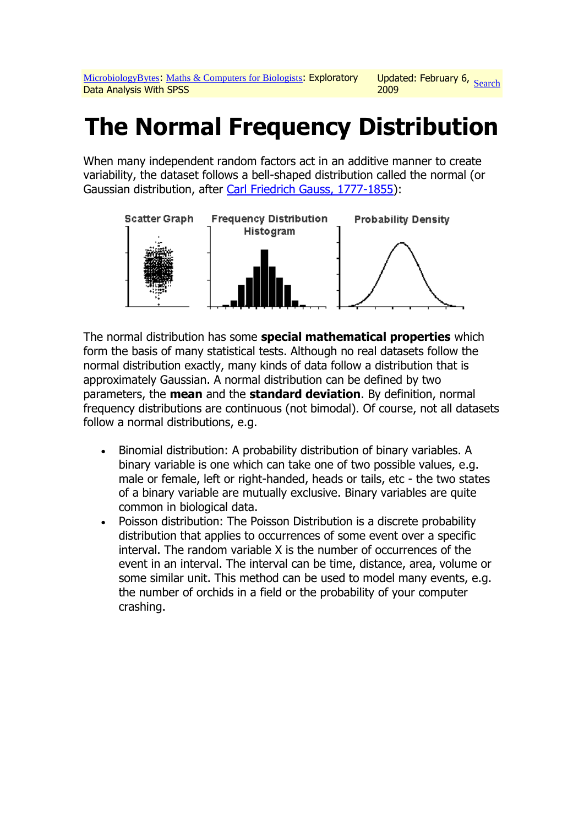# **The Normal Frequency Distribution**

When many independent random factors act in an additive manner to create variability, the dataset follows a bell-shaped distribution called the normal (or Gaussian distribution, after [Carl Friedrich Gauss, 1777-1855\)](http://www.google.com/search?q=Carl+Friedrich+Gauss&num=50):



The normal distribution has some **special mathematical properties** which form the basis of many statistical tests. Although no real datasets follow the normal distribution exactly, many kinds of data follow a distribution that is approximately Gaussian. A normal distribution can be defined by two parameters, the **mean** and the **standard deviation**. By definition, normal frequency distributions are continuous (not bimodal). Of course, not all datasets follow a normal distributions, e.g.

- Binomial distribution: A probability distribution of binary variables. A binary variable is one which can take one of two possible values, e.g. male or female, left or right-handed, heads or tails, etc - the two states of a binary variable are mutually exclusive. Binary variables are quite common in biological data.
- Poisson distribution: The Poisson Distribution is a discrete probability distribution that applies to occurrences of some event over a specific interval. The random variable X is the number of occurrences of the event in an interval. The interval can be time, distance, area, volume or some similar unit. This method can be used to model many events, e.g. the number of orchids in a field or the probability of your computer crashing.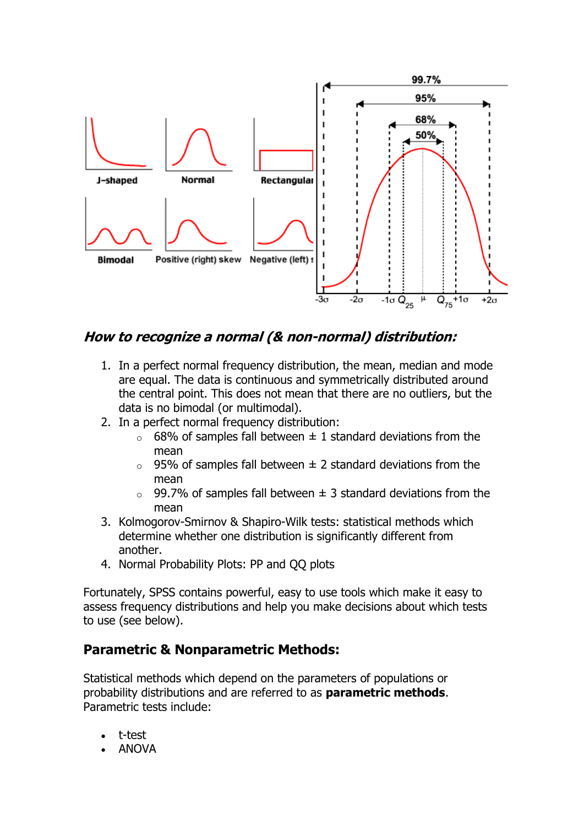

## **How to recognize a normal (& non-normal) distribution:**

- 1. In a perfect normal frequency distribution, the mean, median and mode are equal. The data is continuous and symmetrically distributed around the central point. This does not mean that there are no outliers, but the data is no bimodal (or multimodal).
- 2. In a perfect normal frequency distribution:
	- $\circ$  68% of samples fall between  $\pm$  1 standard deviations from the mean
	- $\circ$  95% of samples fall between  $\pm$  2 standard deviations from the mean
	- $\circ$  99.7% of samples fall between  $\pm$  3 standard deviations from the mean
- 3. Kolmogorov-Smirnov & Shapiro-Wilk tests: statistical methods which determine whether one distribution is significantly different from another.
- 4. Normal Probability Plots: PP and QQ plots

Fortunately, SPSS contains powerful, easy to use tools which make it easy to assess frequency distributions and help you make decisions about which tests to use (see below).

### **Parametric & Nonparametric Methods:**

Statistical methods which depend on the parameters of populations or probability distributions and are referred to as **parametric methods**. Parametric tests include:

- t-test
- ANOVA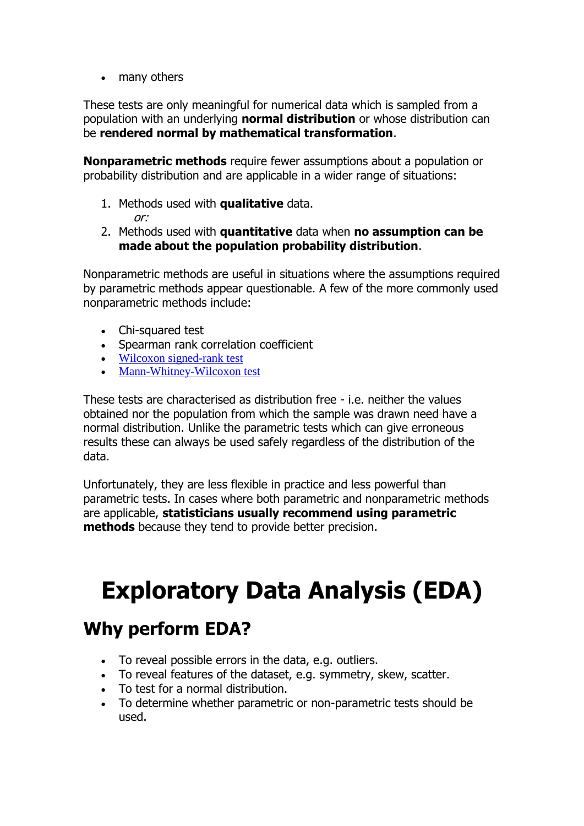• many others

These tests are only meaningful for numerical data which is sampled from a population with an underlying **normal distribution** or whose distribution can be **rendered normal by mathematical transformation**.

**Nonparametric methods** require fewer assumptions about a population or probability distribution and are applicable in a wider range of situations:

1. Methods used with **qualitative** data.

or:

2. Methods used with **quantitative** data when **no assumption can be made about the population probability distribution**.

Nonparametric methods are useful in situations where the assumptions required by parametric methods appear questionable. A few of the more commonly used nonparametric methods include:

- Chi-squared test
- Spearman rank correlation coefficient
- [Wilcoxon signed-rank test](http://www.google.com/search?q=Wilcoxon+signed+rank+test&num=50)
- [Mann-Whitney-Wilcoxon test](http://www.google.com/search?q=Mann+Whitney+Wilcoxon+test&num=50)

These tests are characterised as distribution free - i.e. neither the values obtained nor the population from which the sample was drawn need have a normal distribution. Unlike the parametric tests which can give erroneous results these can always be used safely regardless of the distribution of the data.

Unfortunately, they are less flexible in practice and less powerful than parametric tests. In cases where both parametric and nonparametric methods are applicable, **statisticians usually recommend using parametric methods** because they tend to provide better precision.

# **Exploratory Data Analysis (EDA)**

## **Why perform EDA?**

- To reveal possible errors in the data, e.g. outliers.
- To reveal features of the dataset, e.g. symmetry, skew, scatter.
- To test for a normal distribution.
- To determine whether parametric or non-parametric tests should be used.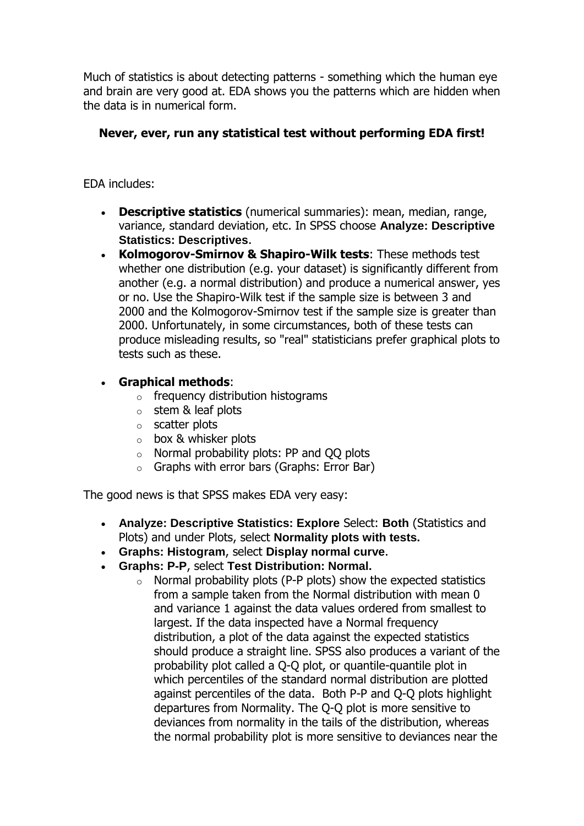Much of statistics is about detecting patterns - something which the human eye and brain are very good at. EDA shows you the patterns which are hidden when the data is in numerical form.

#### **Never, ever, run any statistical test without performing EDA first!**

EDA includes:

- **Descriptive statistics** (numerical summaries): mean, median, range, variance, standard deviation, etc. In SPSS choose **Analyze: Descriptive Statistics: Descriptives**.
- **Kolmogorov-Smirnov & Shapiro-Wilk tests**: These methods test whether one distribution (e.g. your dataset) is significantly different from another (e.g. a normal distribution) and produce a numerical answer, yes or no. Use the Shapiro-Wilk test if the sample size is between 3 and 2000 and the Kolmogorov-Smirnov test if the sample size is greater than 2000. Unfortunately, in some circumstances, both of these tests can produce misleading results, so "real" statisticians prefer graphical plots to tests such as these.
- **Graphical methods**:
	- $\circ$  frequency distribution histograms
	- $\circ$  stem & leaf plots
	- o scatter plots
	- o box & whisker plots
	- o Normal probability plots: PP and QQ plots
	- o Graphs with error bars (Graphs: Error Bar)

The good news is that SPSS makes EDA very easy:

- **Analyze: Descriptive Statistics: Explore** Select: **Both** (Statistics and Plots) and under Plots, select **Normality plots with tests.**
- **Graphs: Histogram**, select **Display normal curve**.
- **Graphs: P-P**, select **Test Distribution: Normal.**
	- o Normal probability plots (P-P plots) show the expected statistics from a sample taken from the Normal distribution with mean 0 and variance 1 against the data values ordered from smallest to largest. If the data inspected have a Normal frequency distribution, a plot of the data against the expected statistics should produce a straight line. SPSS also produces a variant of the probability plot called a Q-Q plot, or quantile-quantile plot in which percentiles of the standard normal distribution are plotted against percentiles of the data. Both P-P and Q-Q plots highlight departures from Normality. The Q-Q plot is more sensitive to deviances from normality in the tails of the distribution, whereas the normal probability plot is more sensitive to deviances near the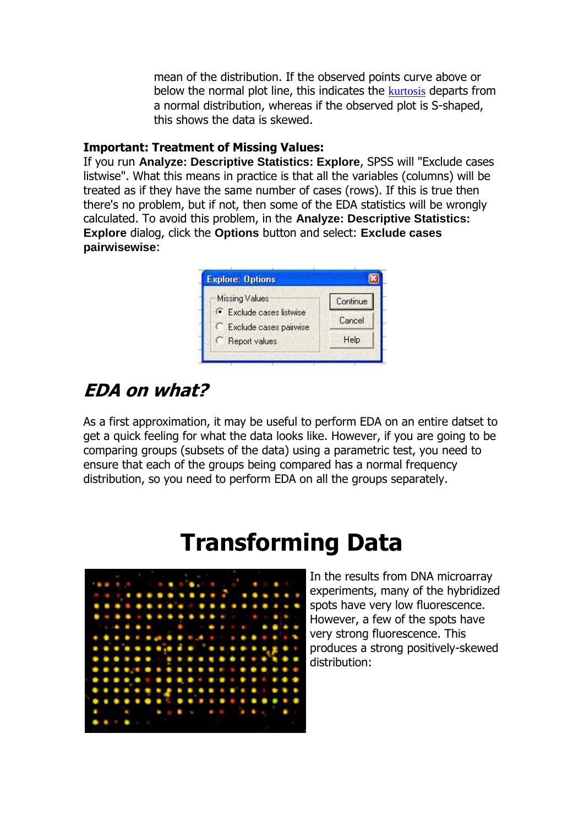mean of the distribution. If the observed points curve above or below the normal plot line, this indicates the [kurtosis](http://www.google.com/search?q=kurtosis) departs from a normal distribution, whereas if the observed plot is S-shaped, this shows the data is skewed.

#### **Important: Treatment of Missing Values:**

If you run **Analyze: Descriptive Statistics: Explore**, SPSS will "Exclude cases listwise". What this means in practice is that all the variables (columns) will be treated as if they have the same number of cases (rows). If this is true then there's no problem, but if not, then some of the EDA statistics will be wrongly calculated. To avoid this problem, in the **Analyze: Descriptive Statistics: Explore** dialog, click the **Options** button and select: **Exclude cases pairwisewise**:



## **EDA on what?**

As a first approximation, it may be useful to perform EDA on an entire datset to get a quick feeling for what the data looks like. However, if you are going to be comparing groups (subsets of the data) using a parametric test, you need to ensure that each of the groups being compared has a normal frequency distribution, so you need to perform EDA on all the groups separately.

## **Transforming Data**



In the results from DNA microarray experiments, many of the hybridized spots have very low fluorescence. However, a few of the spots have very strong fluorescence. This produces a strong positively-skewed distribution: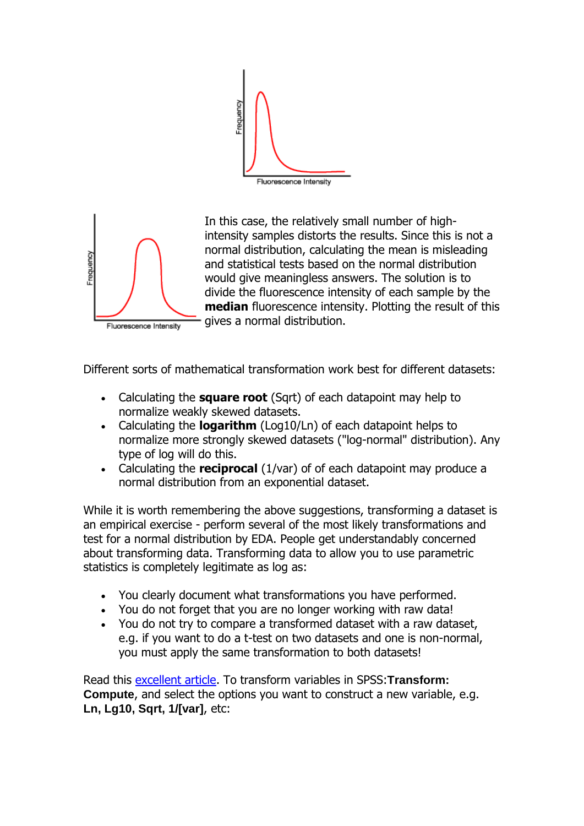



In this case, the relatively small number of highintensity samples distorts the results. Since this is not a normal distribution, calculating the mean is misleading and statistical tests based on the normal distribution would give meaningless answers. The solution is to divide the fluorescence intensity of each sample by the **median** fluorescence intensity. Plotting the result of this gives a normal distribution.

Different sorts of mathematical transformation work best for different datasets:

- Calculating the **square root** (Sqrt) of each datapoint may help to normalize weakly skewed datasets.
- Calculating the **logarithm** (Log10/Ln) of each datapoint helps to normalize more strongly skewed datasets ("log-normal" distribution). Any type of log will do this.
- Calculating the **reciprocal** (1/var) of of each datapoint may produce a normal distribution from an exponential dataset.

While it is worth remembering the above suggestions, transforming a dataset is an empirical exercise - perform several of the most likely transformations and test for a normal distribution by EDA. People get understandably concerned about transforming data. Transforming data to allow you to use parametric statistics is completely legitimate as log as:

- You clearly document what transformations you have performed.
- You do not forget that you are no longer working with raw data!
- You do not try to compare a transformed dataset with a raw dataset, e.g. if you want to do a t-test on two datasets and one is non-normal, you must apply the same transformation to both datasets!

Read this [excellent article.](http://www.microbiologybytes.com/maths/graphics/transformation.pdf) To transform variables in SPSS:**Transform: Compute**, and select the options you want to construct a new variable, e.g. **Ln, Lg10, Sqrt, 1/[var]**, etc: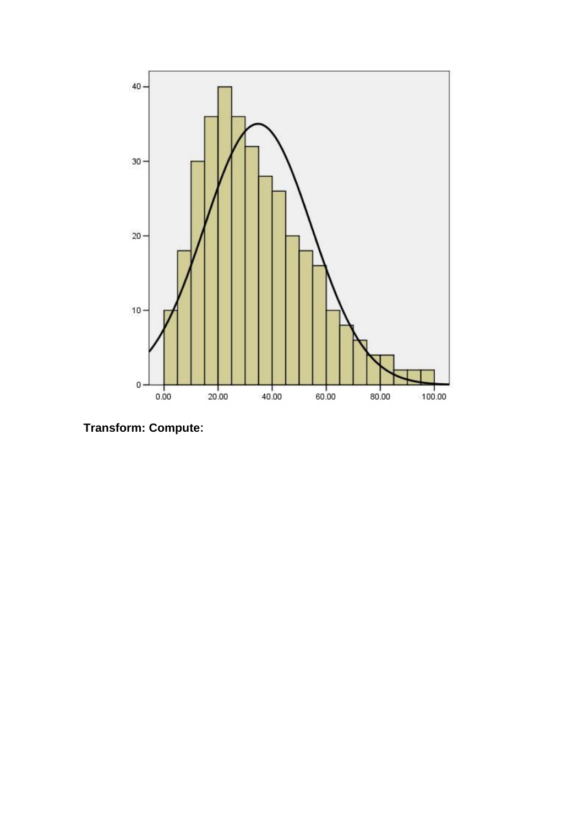

**Transform: Compute**: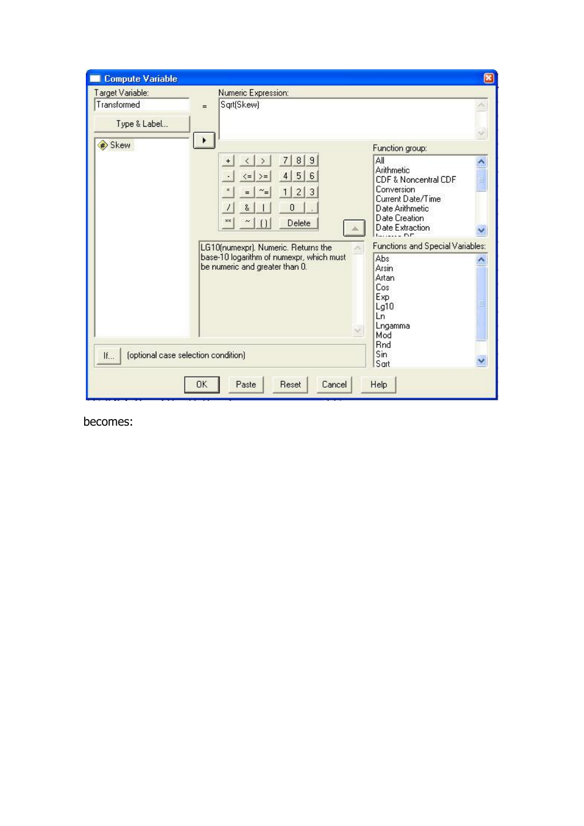| <b>Compute Variable</b>                                   |                                                                                                                                                                                                                                                                                                                                                                                                                           | ×             |
|-----------------------------------------------------------|---------------------------------------------------------------------------------------------------------------------------------------------------------------------------------------------------------------------------------------------------------------------------------------------------------------------------------------------------------------------------------------------------------------------------|---------------|
| Target Variable:<br>Transformed                           | Numeric Expression:<br>Sqrt(Skew)<br>$=$                                                                                                                                                                                                                                                                                                                                                                                  |               |
| Type & Label                                              |                                                                                                                                                                                                                                                                                                                                                                                                                           |               |
| Skew                                                      | ٠<br>Function group:<br>$\bf{8}$<br>$\mathbf{9}$<br>All<br>7<br>$\rightarrow$<br>$\langle$<br>$\ddot{}$<br>Arithmetic<br>5 <br>4 <br>6<br>$>=$<br>$\leq$<br>CDF & Noncentral CDF<br>Conversion<br>3<br>$\overline{c}$<br>$\sim_{\equiv}$<br>$\mathbf{1}$<br>Current Date/Time<br>0<br>8<br>Date Arithmetic<br>Date Creation<br>XX<br>Delete<br>$\Box$<br>Date Extraction<br>$L_{\text{max}} = \mathbf{D} \mathbf{\Gamma}$ | $\frac{1}{2}$ |
|                                                           | <b>Functions and Special Variables:</b><br>LG10(numexpr). Numeric. Returns the<br>base-10 logarithm of numexpr, which must<br>Abs<br>be numeric and greater than 0.<br><b>Arsin</b><br><b>Artan</b><br>Cos<br><b>Exp</b><br>Lg10<br>Ln<br>Lngamma<br>$\sim$<br>Mod<br><b>Rnd</b>                                                                                                                                          | Ë             |
| Sin.<br>(optional case selection condition)<br>If<br>Sart |                                                                                                                                                                                                                                                                                                                                                                                                                           |               |
|                                                           | OK<br>Paste<br><b>Reset</b><br>Cancel<br>Help                                                                                                                                                                                                                                                                                                                                                                             |               |

becomes: